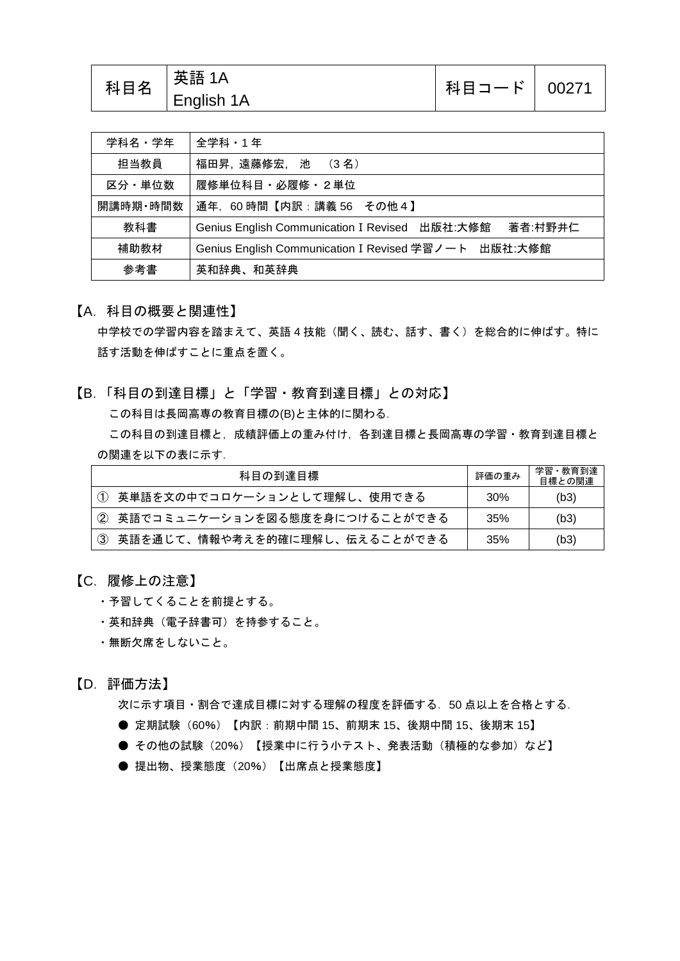| 科目名 | 英語 1A<br>$\overline{\phantom{a}}$ English 1A | 科目コード   00271 |  |
|-----|----------------------------------------------|---------------|--|
|-----|----------------------------------------------|---------------|--|

| 学科名・学年   | 全学科・1年                                                              |  |
|----------|---------------------------------------------------------------------|--|
| 担当教員     | 福田昇,遠藤修宏, 池 (3名)                                                    |  |
| 区分・単位数   | 履修単位科目 · 必履修 · 2単位                                                  |  |
| 開講時期·時間数 | 通年, 60時間【内訳:講義 56 その他4】                                             |  |
| 教科書      | 出版社:大修館<br>著者:村野井仁<br><b>Genius English Communication I Revised</b> |  |
| 補助教材     | Genius English Communication I Revised 学習ノート 出版社:大修館                |  |
| 参考書      | 英和辞典、和英辞典                                                           |  |

### 【A.科目の概要と関連性】

中学校での学習内容を踏まえて、英語 4 技能(聞く、読む、話す、書く)を総合的に伸ばす。特に 話す活動を伸ばすことに重点を置く。

【B.「科目の到達目標」と「学習・教育到達目標」との対応】 この科目は長岡高専の教育目標の(B)と主体的に関わる. この科目の到達目標と,成績評価上の重み付け,各到達目標と長岡高専の学習・教育到達目標と の関連を以下の表に示す.

| 科目の到達目標                          | 評価の重み | 学習・教育到達<br>目標との関連 |
|----------------------------------|-------|-------------------|
| (1) 英単語を文の中でコロケーションとして理解し、使用できる  | 30%   | (b3)              |
| (2)英語でコミュニケーションを図る態度を身につけることができる | 35%   | (b3)              |
| - 英語を通じて、情報や考えを的確に理解し、伝えることができる  | 35%   | (b3)              |

### 【C.履修上の注意】

- ・予習してくることを前提とする。
- ・英和辞典(電子辞書可)を持参すること。
- ・無断欠席をしないこと。

### 【D.評価方法】

次に示す項目・割合で達成目標に対する理解の程度を評価する. 50 点以上を合格とする.

- 定期試験 (60%) 【内訳: 前期中間 15、前期末 15、後期中間 15、後期末 15】
- その他の試験 (20%) 【授業中に行う小テスト、発表活動(積極的な参加)など】
- 提出物、授業態度 (20%) 【出席点と授業態度】